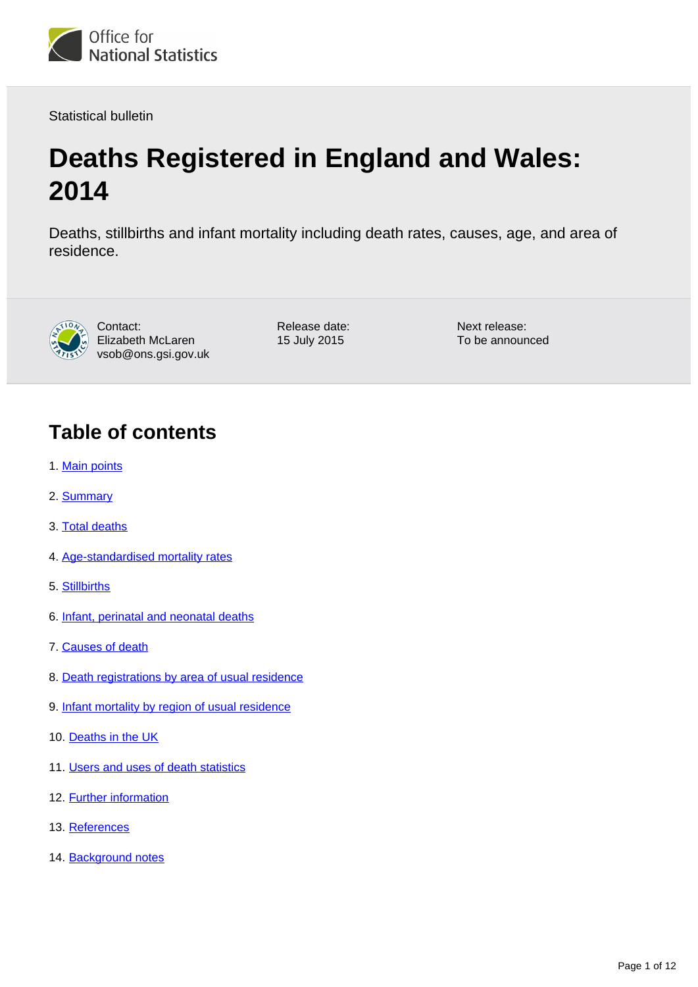

Statistical bulletin

# **Deaths Registered in England and Wales: 2014**

Deaths, stillbirths and infant mortality including death rates, causes, age, and area of residence.



Contact: Elizabeth McLaren vsob@ons.gsi.gov.uk Release date: 15 July 2015

Next release: To be announced

# **Table of contents**

- 1. [Main points](#page-1-0)
- 2. [Summary](#page-1-1)
- 3. [Total deaths](#page-1-2)
- 4. [Age-standardised mortality rates](#page-1-3)
- 5. [Stillbirths](#page-2-0)
- 6. [Infant, perinatal and neonatal deaths](#page-4-0)
- 7. [Causes of death](#page-5-0)
- 8. [Death registrations by area of usual residence](#page-5-1)
- 9. [Infant mortality by region of usual residence](#page-6-0)
- 10. [Deaths in the UK](#page-6-1)
- 11. [Users and uses of death statistics](#page-6-2)
- 12. **[Further information](#page-8-0)**
- 13. [References](#page-8-1)
- 14. [Background notes](#page-9-0)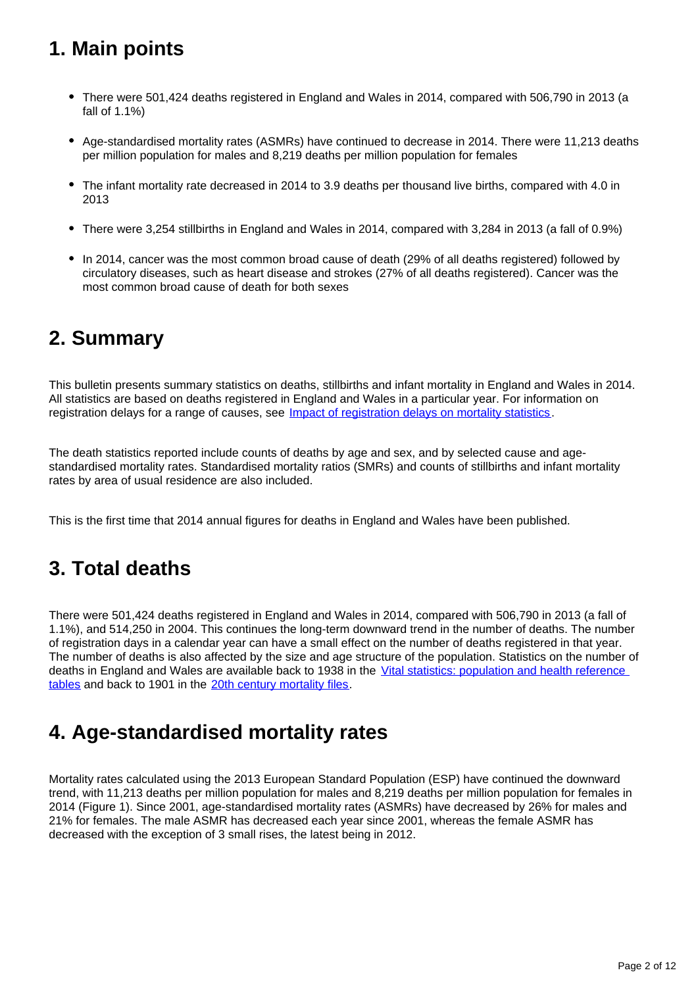# <span id="page-1-0"></span>**1. Main points**

- There were 501,424 deaths registered in England and Wales in 2014, compared with 506,790 in 2013 (a fall of 1.1%)
- Age-standardised mortality rates (ASMRs) have continued to decrease in 2014. There were 11,213 deaths per million population for males and 8,219 deaths per million population for females
- The infant mortality rate decreased in 2014 to 3.9 deaths per thousand live births, compared with 4.0 in 2013
- There were 3,254 stillbirths in England and Wales in 2014, compared with 3,284 in 2013 (a fall of 0.9%)
- In 2014, cancer was the most common broad cause of death (29% of all deaths registered) followed by circulatory diseases, such as heart disease and strokes (27% of all deaths registered). Cancer was the most common broad cause of death for both sexes

#### <span id="page-1-1"></span>**2. Summary**

This bulletin presents summary statistics on deaths, stillbirths and infant mortality in England and Wales in 2014. All statistics are based on deaths registered in England and Wales in a particular year. For information on registration delays for a range of causes, see *[Impact of registration delays on mortality statistics](http://www.ons.gov.uk/ons/guide-method/user-guidance/health-and-life-events/impact-of-registration-delays-on-mortality-statistics/index.html)*.

The death statistics reported include counts of deaths by age and sex, and by selected cause and agestandardised mortality rates. Standardised mortality ratios (SMRs) and counts of stillbirths and infant mortality rates by area of usual residence are also included.

This is the first time that 2014 annual figures for deaths in England and Wales have been published.

# <span id="page-1-2"></span>**3. Total deaths**

There were 501,424 deaths registered in England and Wales in 2014, compared with 506,790 in 2013 (a fall of 1.1%), and 514,250 in 2004. This continues the long-term downward trend in the number of deaths. The number of registration days in a calendar year can have a small effect on the number of deaths registered in that year. The number of deaths is also affected by the size and age structure of the population. Statistics on the number of deaths in England and Wales are available back to 1938 in the Vital statistics: population and health reference [tables](http://www.ons.gov.uk/ons/rel/vsob1/vital-statistics--population-and-health-reference-tables/index.html) and back to 1901 in the [20th century mortality files.](http://www.ons.gov.uk/ons/rel/subnational-health1/the-20th-century-mortality-files/index.html)

# <span id="page-1-3"></span>**4. Age-standardised mortality rates**

Mortality rates calculated using the 2013 European Standard Population (ESP) have continued the downward trend, with 11,213 deaths per million population for males and 8,219 deaths per million population for females in 2014 (Figure 1). Since 2001, age-standardised mortality rates (ASMRs) have decreased by 26% for males and 21% for females. The male ASMR has decreased each year since 2001, whereas the female ASMR has decreased with the exception of 3 small rises, the latest being in 2012.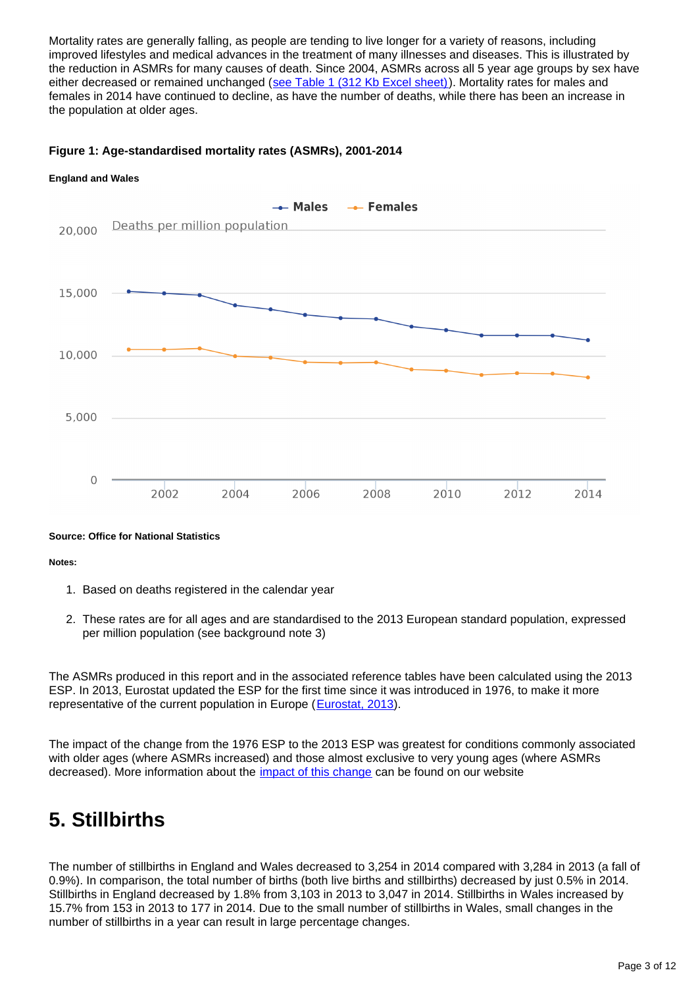Mortality rates are generally falling, as people are tending to live longer for a variety of reasons, including improved lifestyles and medical advances in the treatment of many illnesses and diseases. This is illustrated by the reduction in ASMRs for many causes of death. Since 2004, ASMRs across all 5 year age groups by sex have either decreased or remained unchanged ([see Table 1 \(312 Kb Excel sheet\)\)](http://www.ons.gov.uk/ons/rel/vsob1/death-reg-sum-tables/2014/rft-deaths-summary-tables-2014.xls). Mortality rates for males and females in 2014 have continued to decline, as have the number of deaths, while there has been an increase in the population at older ages.

#### **Figure 1: Age-standardised mortality rates (ASMRs), 2001-2014**



**Source: Office for National Statistics**

**Notes:**

- 1. Based on deaths registered in the calendar year
- 2. These rates are for all ages and are standardised to the 2013 European standard population, expressed per million population (see background note 3)

The ASMRs produced in this report and in the associated reference tables have been calculated using the 2013 ESP. In 2013, Eurostat updated the ESP for the first time since it was introduced in 1976, to make it more representative of the current population in Europe ([Eurostat, 2013](http://www.ons.gov.uk/ons/external-links/other/eurostat/eurostat--revision-of-the-european-standard-popluation-2013.html)).

The impact of the change from the 1976 ESP to the 2013 ESP was greatest for conditions commonly associated with older ages (where ASMRs increased) and those almost exclusive to very young ages (where ASMRs decreased). More information about the [impact of this change](http://www.ons.gov.uk/ons/guide-method/user-guidance/health-and-life-events/revised-european-standard-population-2013--2013-esp-/index.html) can be found on our website

# <span id="page-2-0"></span>**5. Stillbirths**

The number of stillbirths in England and Wales decreased to 3,254 in 2014 compared with 3,284 in 2013 (a fall of 0.9%). In comparison, the total number of births (both live births and stillbirths) decreased by just 0.5% in 2014. Stillbirths in England decreased by 1.8% from 3,103 in 2013 to 3,047 in 2014. Stillbirths in Wales increased by 15.7% from 153 in 2013 to 177 in 2014. Due to the small number of stillbirths in Wales, small changes in the number of stillbirths in a year can result in large percentage changes.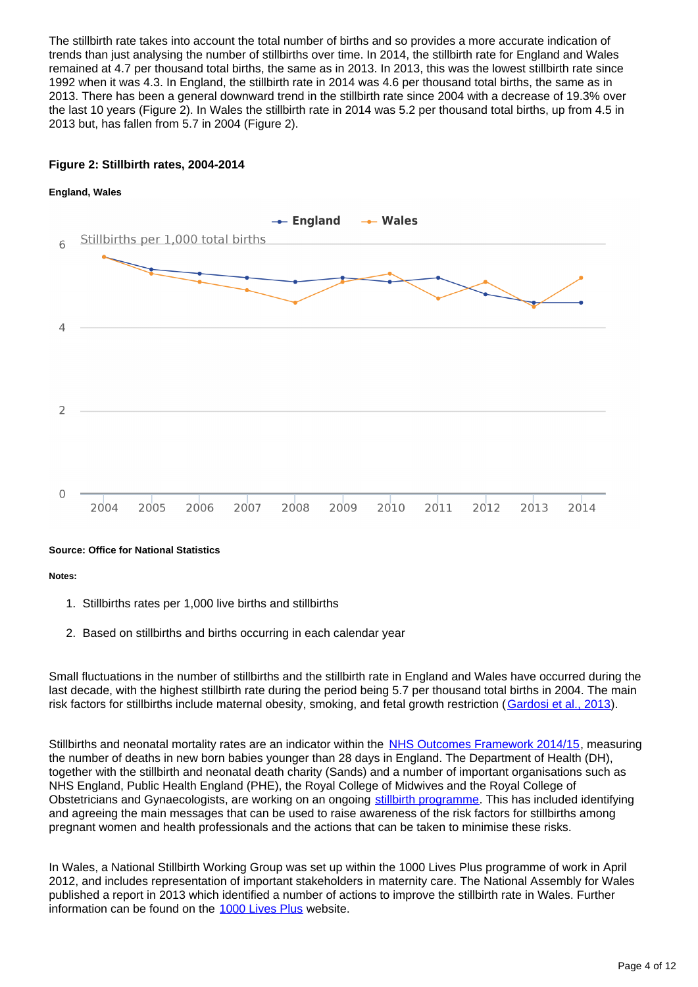The stillbirth rate takes into account the total number of births and so provides a more accurate indication of trends than just analysing the number of stillbirths over time. In 2014, the stillbirth rate for England and Wales remained at 4.7 per thousand total births, the same as in 2013. In 2013, this was the lowest stillbirth rate since 1992 when it was 4.3. In England, the stillbirth rate in 2014 was 4.6 per thousand total births, the same as in 2013. There has been a general downward trend in the stillbirth rate since 2004 with a decrease of 19.3% over the last 10 years (Figure 2). In Wales the stillbirth rate in 2014 was 5.2 per thousand total births, up from 4.5 in 2013 but, has fallen from 5.7 in 2004 (Figure 2).

#### **Figure 2: Stillbirth rates, 2004-2014**



#### **Source: Office for National Statistics**

**Notes:**

- 1. Stillbirths rates per 1,000 live births and stillbirths
- 2. Based on stillbirths and births occurring in each calendar year

Small fluctuations in the number of stillbirths and the stillbirth rate in England and Wales have occurred during the last decade, with the highest stillbirth rate during the period being 5.7 per thousand total births in 2004. The main risk factors for stillbirths include maternal obesity, smoking, and fetal growth restriction ([Gardosi et al., 2013](http://www.ons.gov.uk/ons/external-links/articles-and-summaries/articles/maternal-and-fetal-risk-factors-for-stillbirth--population-based-study-gardosi-et-al.html)).

Stillbirths and neonatal mortality rates are an indicator within the [NHS Outcomes Framework 2014/15](http://www.gov.uk/government/publications/nhs-outcomes-framework-2014-to-2015), measuring the number of deaths in new born babies younger than 28 days in England. The Department of Health (DH), together with the stillbirth and neonatal death charity (Sands) and a number of important organisations such as NHS England, Public Health England (PHE), the Royal College of Midwives and the Royal College of Obstetricians and Gynaecologists, are working on an ongoing [stillbirth programme.](http://www.ons.gov.uk/ons/external-links/other/sands.html) This has included identifying and agreeing the main messages that can be used to raise awareness of the risk factors for stillbirths among pregnant women and health professionals and the actions that can be taken to minimise these risks.

In Wales, a National Stillbirth Working Group was set up within the 1000 Lives Plus programme of work in April 2012, and includes representation of important stakeholders in maternity care. The National Assembly for Wales published a report in 2013 which identified a number of actions to improve the stillbirth rate in Wales. Further information can be found on the [1000 Lives Plus](http://www.ons.gov.uk/ons/external-links/other-government-departments/nhs/1000-lives-plus.html) website.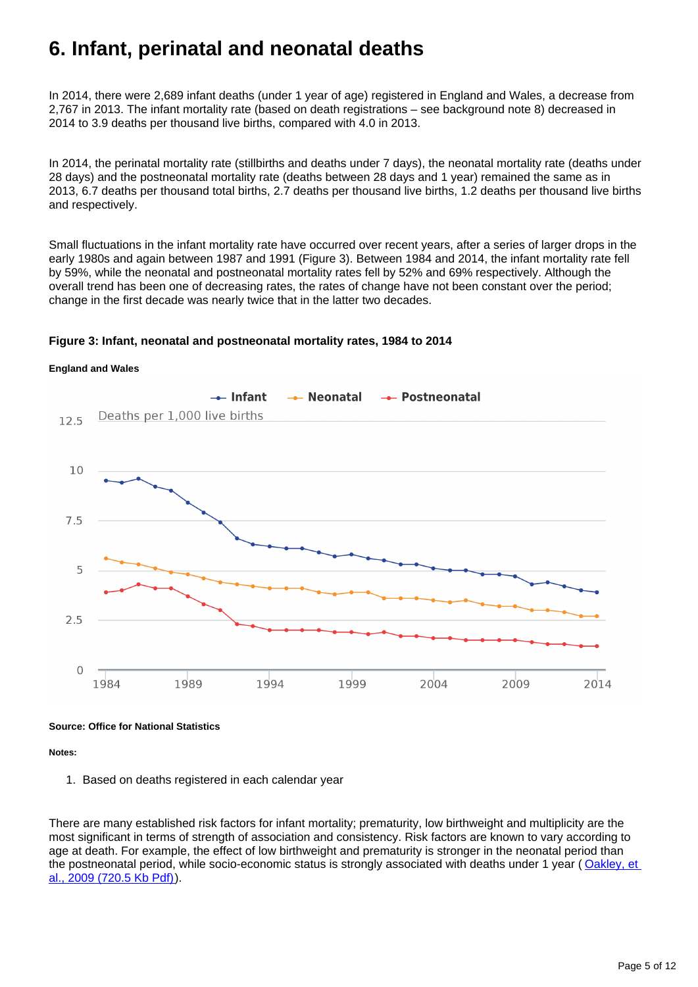# <span id="page-4-0"></span>**6. Infant, perinatal and neonatal deaths**

In 2014, there were 2,689 infant deaths (under 1 year of age) registered in England and Wales, a decrease from 2,767 in 2013. The infant mortality rate (based on death registrations – see background note 8) decreased in 2014 to 3.9 deaths per thousand live births, compared with 4.0 in 2013.

In 2014, the perinatal mortality rate (stillbirths and deaths under 7 days), the neonatal mortality rate (deaths under 28 days) and the postneonatal mortality rate (deaths between 28 days and 1 year) remained the same as in 2013, 6.7 deaths per thousand total births, 2.7 deaths per thousand live births, 1.2 deaths per thousand live births and respectively.

Small fluctuations in the infant mortality rate have occurred over recent years, after a series of larger drops in the early 1980s and again between 1987 and 1991 (Figure 3). Between 1984 and 2014, the infant mortality rate fell by 59%, while the neonatal and postneonatal mortality rates fell by 52% and 69% respectively. Although the overall trend has been one of decreasing rates, the rates of change have not been constant over the period; change in the first decade was nearly twice that in the latter two decades.

#### **Figure 3: Infant, neonatal and postneonatal mortality rates, 1984 to 2014**





**Source: Office for National Statistics**

**Notes:**

1. Based on deaths registered in each calendar year

There are many established risk factors for infant mortality; prematurity, low birthweight and multiplicity are the most significant in terms of strength of association and consistency. Risk factors are known to vary according to age at death. For example, the effect of low birthweight and prematurity is stronger in the neonatal period than the postneonatal period, while socio-economic status is strongly associated with deaths under 1 year (Oakley, et [al., 2009 \(720.5 Kb Pdf\)](http://www.ons.gov.uk/ons/rel/hsq/health-statistics-quarterly/no--42--summer-2009/multivariate-analysis-of-infant-death-in-england-and-wales-in-2005-06--with-focus-on-socio-economic-status-and-deprivation.pdf)).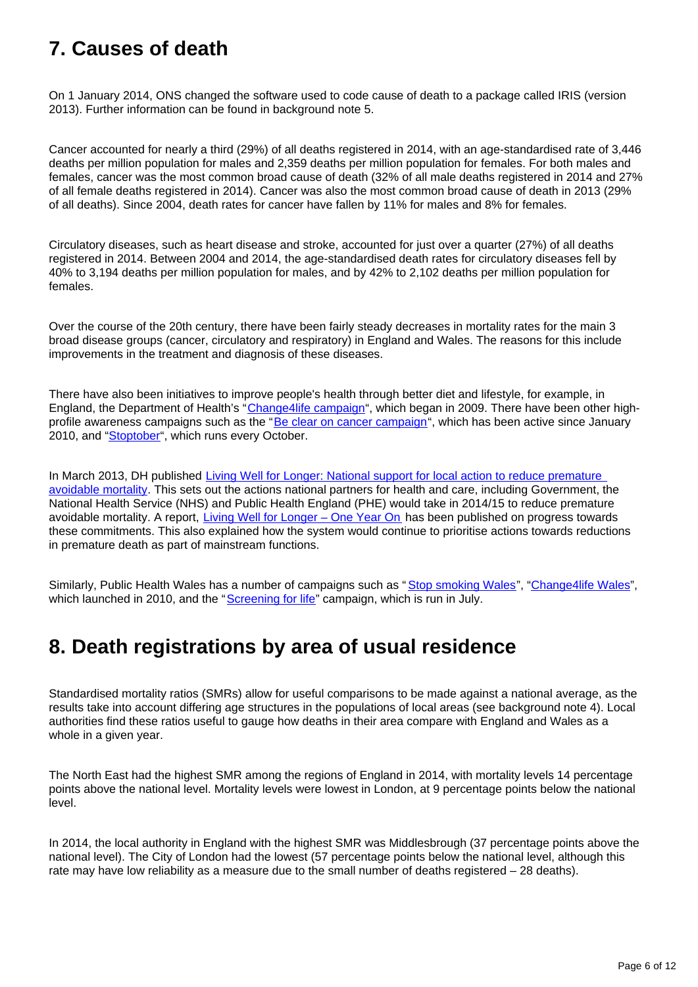# <span id="page-5-0"></span>**7. Causes of death**

On 1 January 2014, ONS changed the software used to code cause of death to a package called IRIS (version 2013). Further information can be found in background note 5.

Cancer accounted for nearly a third (29%) of all deaths registered in 2014, with an age-standardised rate of 3,446 deaths per million population for males and 2,359 deaths per million population for females. For both males and females, cancer was the most common broad cause of death (32% of all male deaths registered in 2014 and 27% of all female deaths registered in 2014). Cancer was also the most common broad cause of death in 2013 (29% of all deaths). Since 2004, death rates for cancer have fallen by 11% for males and 8% for females.

Circulatory diseases, such as heart disease and stroke, accounted for just over a quarter (27%) of all deaths registered in 2014. Between 2004 and 2014, the age-standardised death rates for circulatory diseases fell by 40% to 3,194 deaths per million population for males, and by 42% to 2,102 deaths per million population for females.

Over the course of the 20th century, there have been fairly steady decreases in mortality rates for the main 3 broad disease groups (cancer, circulatory and respiratory) in England and Wales. The reasons for this include improvements in the treatment and diagnosis of these diseases.

There have also been initiatives to improve people's health through better diet and lifestyle, for example, in England, the Department of Health's "[Change4life campaign"](http://www.ons.gov.uk/ons/external-links/other-government-departments/gov-uk/change4life--england.html), which began in 2009. There have been other high-profile awareness campaigns such as the "[Be clear on cancer campaign](http://www.ons.gov.uk/ons/external-links/other-government-departments/gov-uk/be-clear-on-cancer-campaign.html)", which has been active since January 2010, and "[Stoptober"](http://www.ons.gov.uk/ons/external-links/other-government-departments/gov-uk/stoptober.html), which runs every October.

In March 2013, DH published Living Well for Longer: National support for local action to reduce premature [avoidable mortality](http://www.ons.gov.uk/ons/external-links/other-government-departments/gov-uk/living-well-for-longer.html). This sets out the actions national partners for health and care, including Government, the National Health Service (NHS) and Public Health England (PHE) would take in 2014/15 to reduce premature avoidable mortality. A report, Living Well for Longer - One Year On has been published on progress towards these commitments. This also explained how the system would continue to prioritise actions towards reductions in premature death as part of mainstream functions.

Similarly, Public Health Wales has a number of campaigns such as "[Stop smoking Wales"](http://www.ons.gov.uk/ons/external-links/other-government-departments/nhs/stop-smoking-wales.html), "[Change4life Wales"](http://www.ons.gov.uk/ons/external-links/other-government-departments/nhs/change4life--wales.html), which launched in 2010, and the "[Screening for life](http://www.ons.gov.uk/ons/external-links/other-government-departments/nhs/screening-for-life--wales.html)" campaign, which is run in July.

# <span id="page-5-1"></span>**8. Death registrations by area of usual residence**

Standardised mortality ratios (SMRs) allow for useful comparisons to be made against a national average, as the results take into account differing age structures in the populations of local areas (see background note 4). Local authorities find these ratios useful to gauge how deaths in their area compare with England and Wales as a whole in a given year.

The North East had the highest SMR among the regions of England in 2014, with mortality levels 14 percentage points above the national level. Mortality levels were lowest in London, at 9 percentage points below the national level.

In 2014, the local authority in England with the highest SMR was Middlesbrough (37 percentage points above the national level). The City of London had the lowest (57 percentage points below the national level, although this rate may have low reliability as a measure due to the small number of deaths registered – 28 deaths).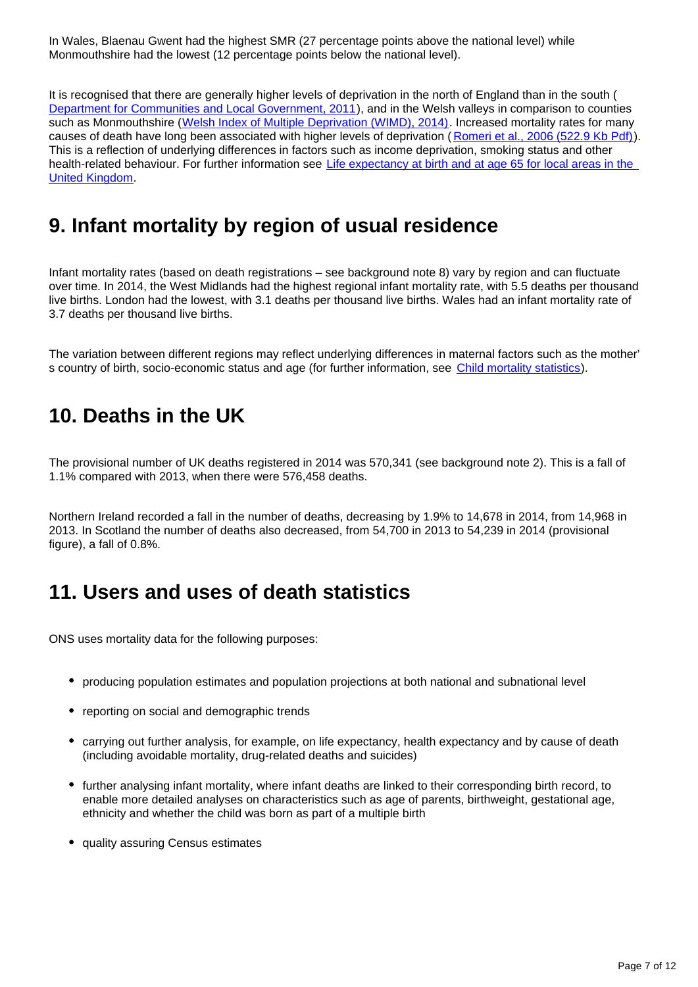In Wales, Blaenau Gwent had the highest SMR (27 percentage points above the national level) while Monmouthshire had the lowest (12 percentage points below the national level).

It is recognised that there are generally higher levels of deprivation in the north of England than in the south ( [Department for Communities and Local Government, 2011](http://www.ons.gov.uk/ons/external-links/other-government-departments/gov-uk/communities-and-local-governments-2011.html)), and in the Welsh valleys in comparison to counties such as Monmouthshire ([Welsh Index of Multiple Deprivation \(WIMD\), 2014\)](http://gov.wales/docs/statistics/2014/141126-wimd-2014-en.pdf). Increased mortality rates for many causes of death have long been associated with higher levels of deprivation ( [Romeri et al., 2006 \(522.9 Kb Pdf\)\)](http://www.ons.gov.uk/ons/rel/hsq/health-statistics-quarterly/no--32--winter-2006/mortality-by-deprivation-and-cause-of-death-in-england-and-wales--1999-2003.pdf). This is a reflection of underlying differences in factors such as income deprivation, smoking status and other health-related behaviour. For further information see [Life expectancy at birth and at age 65 for local areas in the](http://www.ons.gov.uk/ons/rel/subnational-health4/life-expec-at-birth-age-65/index.html)  [United Kingdom.](http://www.ons.gov.uk/ons/rel/subnational-health4/life-expec-at-birth-age-65/index.html)

# <span id="page-6-0"></span>**9. Infant mortality by region of usual residence**

Infant mortality rates (based on death registrations – see background note 8) vary by region and can fluctuate over time. In 2014, the West Midlands had the highest regional infant mortality rate, with 5.5 deaths per thousand live births. London had the lowest, with 3.1 deaths per thousand live births. Wales had an infant mortality rate of 3.7 deaths per thousand live births.

The variation between different regions may reflect underlying differences in maternal factors such as the mother' s country of birth, socio-economic status and age (for further information, see [Child mortality statistics\)](http://www.ons.gov.uk/ons/rel/vsob1/child-mortality-statistics--childhood--infant-and-perinatal/index.html).

### <span id="page-6-1"></span>**10. Deaths in the UK**

The provisional number of UK deaths registered in 2014 was 570,341 (see background note 2). This is a fall of 1.1% compared with 2013, when there were 576,458 deaths.

Northern Ireland recorded a fall in the number of deaths, decreasing by 1.9% to 14,678 in 2014, from 14,968 in 2013. In Scotland the number of deaths also decreased, from 54,700 in 2013 to 54,239 in 2014 (provisional figure), a fall of 0.8%.

#### <span id="page-6-2"></span>**11. Users and uses of death statistics**

ONS uses mortality data for the following purposes:

- producing population estimates and population projections at both national and subnational level
- reporting on social and demographic trends
- carrying out further analysis, for example, on life expectancy, health expectancy and by cause of death (including avoidable mortality, drug-related deaths and suicides)
- further analysing infant mortality, where infant deaths are linked to their corresponding birth record, to enable more detailed analyses on characteristics such as age of parents, birthweight, gestational age, ethnicity and whether the child was born as part of a multiple birth
- quality assuring Census estimates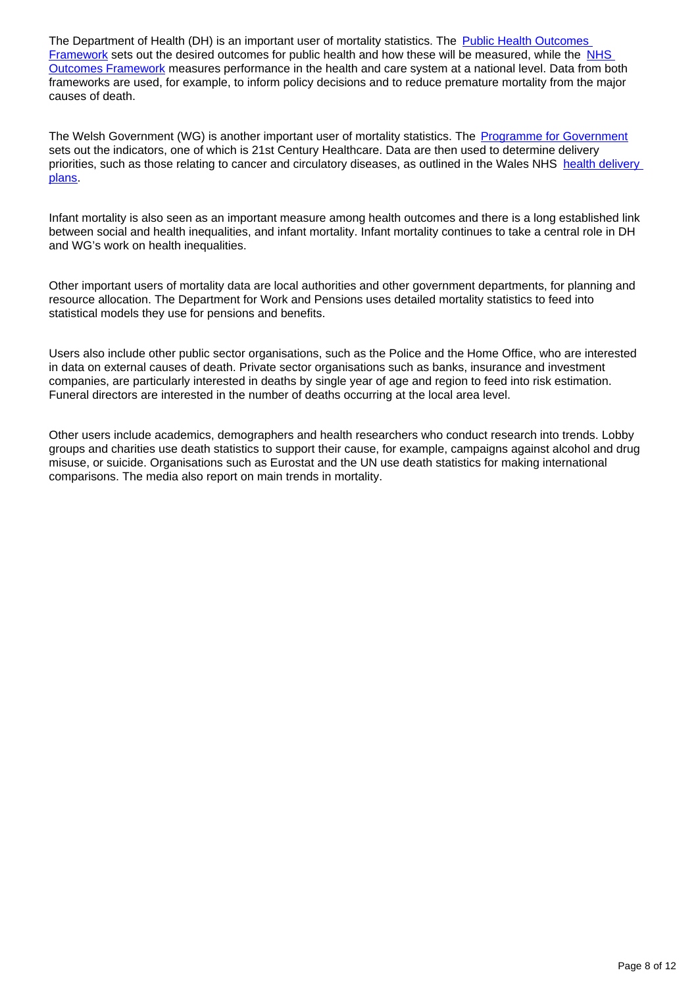The Department of Health (DH) is an important user of mortality statistics. The Public Health Outcomes [Framework](http://www.ons.gov.uk/ons/external-links/other-government-departments/gov-uk/healthy-lives--healthy-people--improving-outcomes.html) sets out the desired outcomes for public health and how these will be measured, while the [NHS](http://www.gov.uk/government/publications/nhs-outcomes-framework-2014-to-2015)  [Outcomes Framework](http://www.gov.uk/government/publications/nhs-outcomes-framework-2014-to-2015) measures performance in the health and care system at a national level. Data from both frameworks are used, for example, to inform policy decisions and to reduce premature mortality from the major causes of death.

The Welsh Government (WG) is another important user of mortality statistics. The [Programme for Government](http://www.ons.gov.uk/ons/external-links/devolved-admins/welsh-assembly-government/programme-for-government--wales.html) sets out the indicators, one of which is 21st Century Healthcare. Data are then used to determine delivery priorities, such as those relating to cancer and circulatory diseases, as outlined in the Wales NHS [health delivery](http://gov.wales/topics/health/nhswales/plans/?lang=en)  [plans](http://gov.wales/topics/health/nhswales/plans/?lang=en).

Infant mortality is also seen as an important measure among health outcomes and there is a long established link between social and health inequalities, and infant mortality. Infant mortality continues to take a central role in DH and WG's work on health inequalities.

Other important users of mortality data are local authorities and other government departments, for planning and resource allocation. The Department for Work and Pensions uses detailed mortality statistics to feed into statistical models they use for pensions and benefits.

Users also include other public sector organisations, such as the Police and the Home Office, who are interested in data on external causes of death. Private sector organisations such as banks, insurance and investment companies, are particularly interested in deaths by single year of age and region to feed into risk estimation. Funeral directors are interested in the number of deaths occurring at the local area level.

Other users include academics, demographers and health researchers who conduct research into trends. Lobby groups and charities use death statistics to support their cause, for example, campaigns against alcohol and drug misuse, or suicide. Organisations such as Eurostat and the UN use death statistics for making international comparisons. The media also report on main trends in mortality.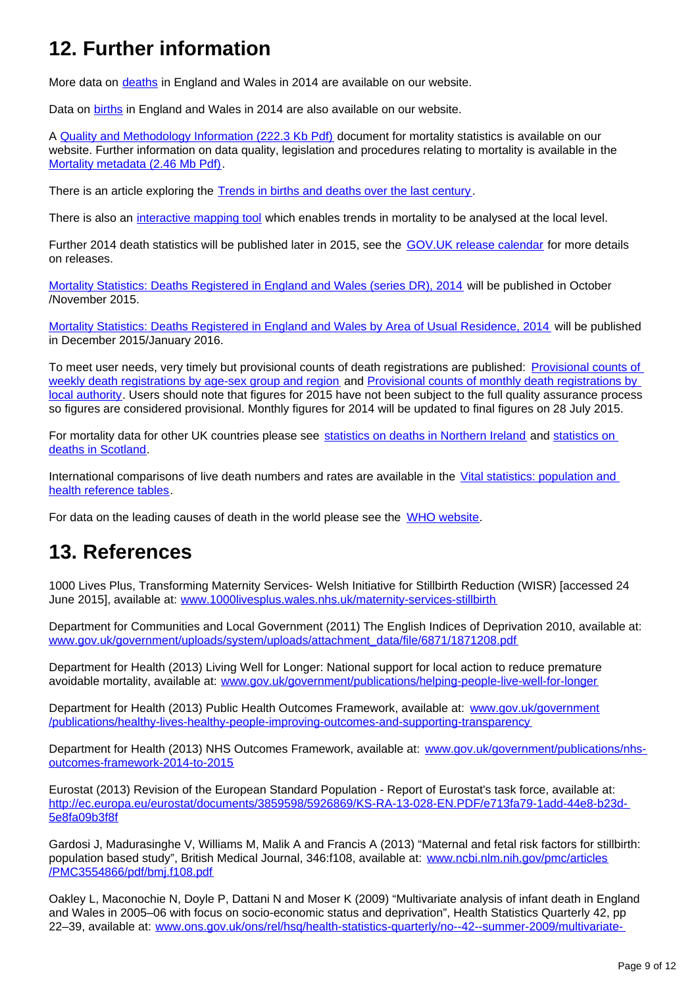# <span id="page-8-0"></span>**12. Further information**

More data on [deaths](http://www.ons.gov.uk/ons/rel/vsob1/death-reg-sum-tables/2014/index.html) in England and Wales in 2014 are available on our website.

Data on [births](http://www.ons.gov.uk/ons/rel/vsob1/birth-summary-tables--england-and-wales/2014/index.html) in England and Wales in 2014 are also available on our website.

A [Quality and Methodology Information \(222.3 Kb Pdf\)](http://www.ons.gov.uk/ons/guide-method/method-quality/quality/quality-information/social-statistics/sqr-mortality-statistics.pdf) document for mortality statistics is available on our website. Further information on data quality, legislation and procedures relating to mortality is available in the [Mortality metadata \(2.46 Mb Pdf\)](http://www.ons.gov.uk/ons/guide-method/user-guidance/health-and-life-events/mortality-metadata.pdf).

There is an article exploring the [Trends in births and deaths over the last century](http://visual.ons.gov.uk/birthsanddeaths/) .

There is also an [interactive mapping tool](http://www.ons.gov.uk/ons/external-links/other-ns-online/neighbourhood-statistics--ness-/mortality-map-interactive-tool.html) which enables trends in mortality to be analysed at the local level.

Further 2014 death statistics will be published later in 2015, see the **[GOV.UK release calendar](http://www.ons.gov.uk/ons/external-links/stats-authority/publication-hub.html)** for more details on releases.

[Mortality Statistics: Deaths Registered in England and Wales \(series DR\), 2014](http://www.ons.gov.uk/ons/rel/vsob1/mortality-statistics--deaths-registered-in-england-and-wales--series-dr-/index.html) will be published in October /November 2015.

[Mortality Statistics: Deaths Registered in England and Wales by Area of Usual Residence, 2014](http://www.ons.gov.uk/ons/rel/vsob1/deaths-registered-area-usual-residence/index.html) will be published in December 2015/January 2016.

To meet user needs, very timely but provisional counts of death registrations are published: [Provisional counts of](http://www.ons.gov.uk/ons/rel/vsob2/weekly-provisional-figures-on-deaths-registered-in-england-and-wales/index.html)  [weekly death registrations by age-sex group and region](http://www.ons.gov.uk/ons/rel/vsob2/weekly-provisional-figures-on-deaths-registered-in-england-and-wales/index.html) and [Provisional counts of monthly death registrations by](http://www.ons.gov.uk/ons/rel/vsob2/monthly-figures-on-deaths-registered-by-area-of-usual-residence--england-and-wales/index.html)  [local authority](http://www.ons.gov.uk/ons/rel/vsob2/monthly-figures-on-deaths-registered-by-area-of-usual-residence--england-and-wales/index.html). Users should note that figures for 2015 have not been subject to the full quality assurance process so figures are considered provisional. Monthly figures for 2014 will be updated to final figures on 28 July 2015.

For mortality data for other UK countries please see [statistics on deaths in Northern Ireland](http://www.ons.gov.uk/ons/external-links/devolved-admins/nisra/nisra----deaths.html) and statistics on [deaths in Scotland](http://www.ons.gov.uk/ons/external-links/other-government-departments/gro/scotland---deaths.html).

International comparisons of live death numbers and rates are available in the [Vital statistics: population and](http://www.ons.gov.uk/ons/rel/vsob1/vital-statistics--population-and-health-reference-tables/index.html)  [health reference tables.](http://www.ons.gov.uk/ons/rel/vsob1/vital-statistics--population-and-health-reference-tables/index.html)

For data on the leading causes of death in the world please see the [WHO website.](http://who.int/mediacentre/factsheets/fs310/en/)

#### <span id="page-8-1"></span>**13. References**

1000 Lives Plus, Transforming Maternity Services- Welsh Initiative for Stillbirth Reduction (WISR) [accessed 24 June 2015], available at: [www.1000livesplus.wales.nhs.uk/maternity-services-stillbirth](http://www.1000livesplus.wales.nhs.uk/maternity-services-stillbirth)

Department for Communities and Local Government (2011) The English Indices of Deprivation 2010, available at: [www.gov.uk/government/uploads/system/uploads/attachment\\_data/file/6871/1871208.pdf](http://www.gov.uk/government/uploads/system/uploads/attachment_data/file/6871/1871208.pdf)

Department for Health (2013) Living Well for Longer: National support for local action to reduce premature avoidable mortality, available at: [www.gov.uk/government/publications/helping-people-live-well-for-longer](http://www.gov.uk/government/publications/helping-people-live-well-for-longer)

Department for Health (2013) Public Health Outcomes Framework, available at: [www.gov.uk/government](http://www.gov.uk/government/publications/healthy-lives-healthy-people-improving-outcomes-and-supporting-transparency) [/publications/healthy-lives-healthy-people-improving-outcomes-and-supporting-transparency](http://www.gov.uk/government/publications/healthy-lives-healthy-people-improving-outcomes-and-supporting-transparency)

Department for Health (2013) NHS Outcomes Framework, available at: [www.gov.uk/government/publications/nhs](http://www.gov.uk/government/publications/nhs-outcomes-framework-2014-to-2015)[outcomes-framework-2014-to-2015](http://www.gov.uk/government/publications/nhs-outcomes-framework-2014-to-2015)

Eurostat (2013) Revision of the European Standard Population - Report of Eurostat's task force, available at: [http://ec.europa.eu/eurostat/documents/3859598/5926869/KS-RA-13-028-EN.PDF/e713fa79-1add-44e8-b23d-](http://ec.europa.eu/eurostat/documents/3859598/5926869/KS-RA-13-028-EN.PDF/e713fa79-1add-44e8-b23d-5e8fa09b3f8f)[5e8fa09b3f8f](http://ec.europa.eu/eurostat/documents/3859598/5926869/KS-RA-13-028-EN.PDF/e713fa79-1add-44e8-b23d-5e8fa09b3f8f)

Gardosi J, Madurasinghe V, Williams M, Malik A and Francis A (2013) "Maternal and fetal risk factors for stillbirth: population based study", British Medical Journal, 346:f108, available at: [www.ncbi.nlm.nih.gov/pmc/articles](http://www.ncbi.nlm.nih.gov/pmc/articles/PMC3554866/pdf/bmj.f108.pdf) [/PMC3554866/pdf/bmj.f108.pdf](http://www.ncbi.nlm.nih.gov/pmc/articles/PMC3554866/pdf/bmj.f108.pdf)

Oakley L, Maconochie N, Doyle P, Dattani N and Moser K (2009) "Multivariate analysis of infant death in England and Wales in 2005–06 with focus on socio-economic status and deprivation", Health Statistics Quarterly 42, pp 22–39, available at: [www.ons.gov.uk/ons/rel/hsq/health-statistics-quarterly/no--42--summer-2009/multivariate-](http://www.ons.gov.uk/ons/rel/hsq/health-statistics-quarterly/no--42--summer-2009/multivariate-analysis-of-infant-death-in-england-and-wales-in-2005-06--with-focus-on-socio-economic-status-and-deprivation.pdf)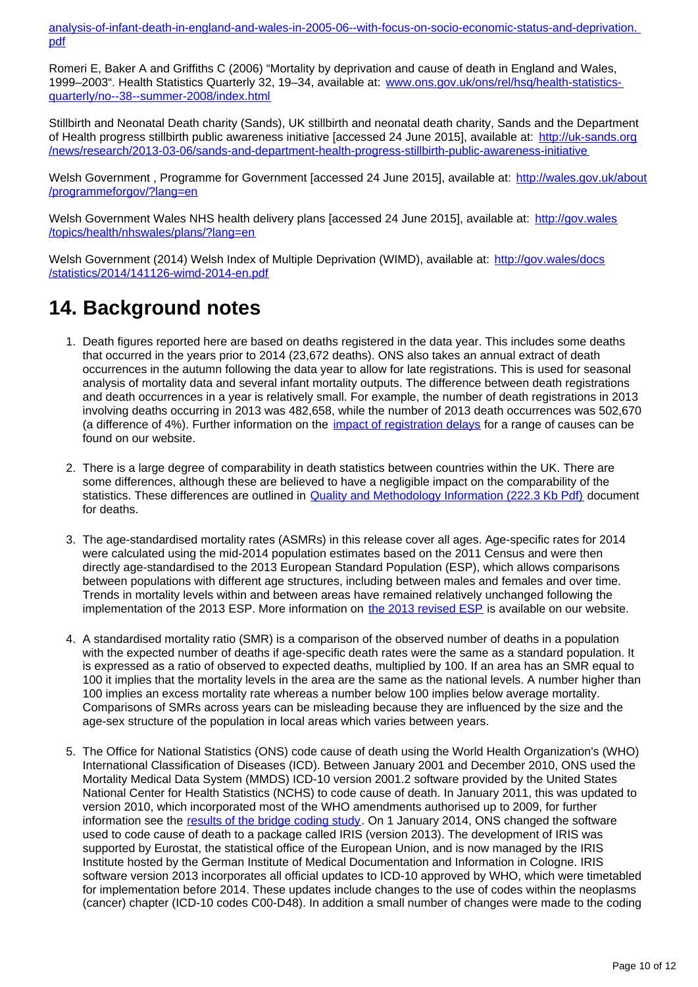[analysis-of-infant-death-in-england-and-wales-in-2005-06--with-focus-on-socio-economic-status-and-deprivation.](http://www.ons.gov.uk/ons/rel/hsq/health-statistics-quarterly/no--42--summer-2009/multivariate-analysis-of-infant-death-in-england-and-wales-in-2005-06--with-focus-on-socio-economic-status-and-deprivation.pdf) [pdf](http://www.ons.gov.uk/ons/rel/hsq/health-statistics-quarterly/no--42--summer-2009/multivariate-analysis-of-infant-death-in-england-and-wales-in-2005-06--with-focus-on-socio-economic-status-and-deprivation.pdf)

Romeri E, Baker A and Griffiths C (2006) "Mortality by deprivation and cause of death in England and Wales, 1999–2003". Health Statistics Quarterly 32, 19–34, available at: [www.ons.gov.uk/ons/rel/hsq/health-statistics](http://www.ons.gov.uk/ons/rel/hsq/health-statistics-quarterly/no--38--summer-2008/index.html)[quarterly/no--38--summer-2008/index.html](http://www.ons.gov.uk/ons/rel/hsq/health-statistics-quarterly/no--38--summer-2008/index.html)

Stillbirth and Neonatal Death charity (Sands), UK stillbirth and neonatal death charity, Sands and the Department of Health progress stillbirth public awareness initiative [accessed 24 June 2015], available at: [http://uk-sands.org](http://uk-sands.org/news/research/2013-03-06/sands-and-department-health-progress-stillbirth-public-awareness-initiative) [/news/research/2013-03-06/sands-and-department-health-progress-stillbirth-public-awareness-initiative](http://uk-sands.org/news/research/2013-03-06/sands-and-department-health-progress-stillbirth-public-awareness-initiative)

Welsh Government , Programme for Government [accessed 24 June 2015], available at: [http://wales.gov.uk/about](http://wales.gov.uk/about/programmeforgov/?lang=en) [/programmeforgov/?lang=en](http://wales.gov.uk/about/programmeforgov/?lang=en)

Welsh Government Wales NHS health delivery plans [accessed 24 June 2015], available at: [http://gov.wales](http://gov.wales/topics/health/nhswales/plans/?lang=en) [/topics/health/nhswales/plans/?lang=en](http://gov.wales/topics/health/nhswales/plans/?lang=en)

Welsh Government (2014) Welsh Index of Multiple Deprivation (WIMD), available at: [http://gov.wales/docs](http://gov.wales/docs/statistics/2014/141126-wimd-2014-en.pdf) [/statistics/2014/141126-wimd-2014-en.pdf](http://gov.wales/docs/statistics/2014/141126-wimd-2014-en.pdf)

### <span id="page-9-0"></span>**14. Background notes**

- 1. Death figures reported here are based on deaths registered in the data year. This includes some deaths that occurred in the years prior to 2014 (23,672 deaths). ONS also takes an annual extract of death occurrences in the autumn following the data year to allow for late registrations. This is used for seasonal analysis of mortality data and several infant mortality outputs. The difference between death registrations and death occurrences in a year is relatively small. For example, the number of death registrations in 2013 involving deaths occurring in 2013 was 482,658, while the number of 2013 death occurrences was 502,670 (a difference of 4%). Further information on the [impact of registration delays](http://www.ons.gov.uk/ons/guide-method/user-guidance/health-and-life-events/impact-of-registration-delays-on-mortality-statistics/index.html) for a range of causes can be found on our website.
- 2. There is a large degree of comparability in death statistics between countries within the UK. There are some differences, although these are believed to have a negligible impact on the comparability of the statistics. These differences are outlined in **[Quality and Methodology Information \(222.3 Kb Pdf\)](http://www.ons.gov.uk/ons/guide-method/method-quality/quality/quality-information/quality-and-methodology-information-reports-by-theme/population/quality-and-methodology-information-for-mortality-statistics-in-england-and-wales.pdf)** document for deaths.
- 3. The age-standardised mortality rates (ASMRs) in this release cover all ages. Age-specific rates for 2014 were calculated using the mid-2014 population estimates based on the 2011 Census and were then directly age-standardised to the 2013 European Standard Population (ESP), which allows comparisons between populations with different age structures, including between males and females and over time. Trends in mortality levels within and between areas have remained relatively unchanged following the implementation of the 2013 ESP. More information on [the 2013 revised ESP](http://www.ons.gov.uk/ons/guide-method/user-guidance/health-and-life-events/revised-european-standard-population-2013--2013-esp-/index.html) is available on our website.
- 4. A standardised mortality ratio (SMR) is a comparison of the observed number of deaths in a population with the expected number of deaths if age-specific death rates were the same as a standard population. It is expressed as a ratio of observed to expected deaths, multiplied by 100. If an area has an SMR equal to 100 it implies that the mortality levels in the area are the same as the national levels. A number higher than 100 implies an excess mortality rate whereas a number below 100 implies below average mortality. Comparisons of SMRs across years can be misleading because they are influenced by the size and the age-sex structure of the population in local areas which varies between years.
- 5. The Office for National Statistics (ONS) code cause of death using the World Health Organization's (WHO) International Classification of Diseases (ICD). Between January 2001 and December 2010, ONS used the Mortality Medical Data System (MMDS) ICD-10 version 2001.2 software provided by the United States National Center for Health Statistics (NCHS) to code cause of death. In January 2011, this was updated to version 2010, which incorporated most of the WHO amendments authorised up to 2009, for further information see the [results of the bridge coding study](http://www.ons.gov.uk/ons/rel/subnational-health3/results-of-the-icd-10-v2010-bridge-coding-study--england-and-wales--2009/index.html). On 1 January 2014, ONS changed the software used to code cause of death to a package called IRIS (version 2013). The development of IRIS was supported by Eurostat, the statistical office of the European Union, and is now managed by the IRIS Institute hosted by the German Institute of Medical Documentation and Information in Cologne. IRIS software version 2013 incorporates all official updates to ICD-10 approved by WHO, which were timetabled for implementation before 2014. These updates include changes to the use of codes within the neoplasms (cancer) chapter (ICD-10 codes C00-D48). In addition a small number of changes were made to the coding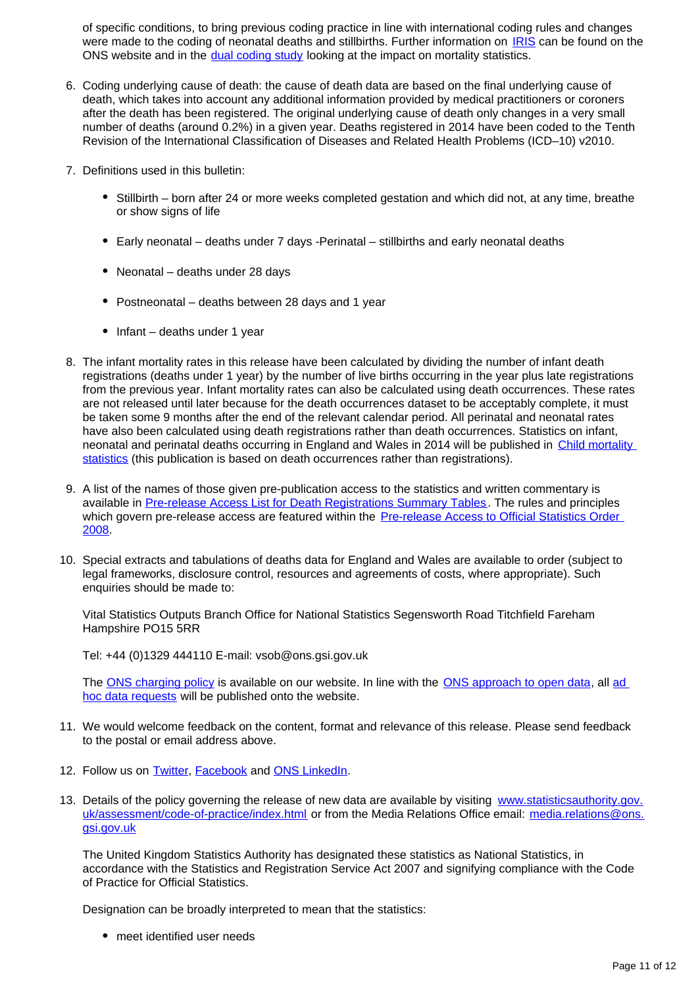of specific conditions, to bring previous coding practice in line with international coding rules and changes were made to the coding of neonatal deaths and stillbirths. Further information on [IRIS](http://www.ons.gov.uk/ons/guide-method/user-guidance/health-and-life-events/Changes-to-cause-of-death-coding-in-England-and-Wales/index.html) can be found on the ONS website and in the [dual coding study](http://www.ons.gov.uk/ons/rel/subnational-health3/impact-of-the-implementation-of-iris-software-for-icd-10-cause-of-death-coding-on-mortality-statistics/england-and-wales/index.html) looking at the impact on mortality statistics.

- 6. Coding underlying cause of death: the cause of death data are based on the final underlying cause of death, which takes into account any additional information provided by medical practitioners or coroners after the death has been registered. The original underlying cause of death only changes in a very small number of deaths (around 0.2%) in a given year. Deaths registered in 2014 have been coded to the Tenth Revision of the International Classification of Diseases and Related Health Problems (ICD–10) v2010.
- 7. Definitions used in this bulletin:
	- Stillbirth born after 24 or more weeks completed gestation and which did not, at any time, breathe or show signs of life
	- Early neonatal deaths under 7 days -Perinatal stillbirths and early neonatal deaths
	- Neonatal deaths under 28 days
	- Postneonatal deaths between 28 days and 1 year
	- $\bullet$  Infant deaths under 1 year
- 8. The infant mortality rates in this release have been calculated by dividing the number of infant death registrations (deaths under 1 year) by the number of live births occurring in the year plus late registrations from the previous year. Infant mortality rates can also be calculated using death occurrences. These rates are not released until later because for the death occurrences dataset to be acceptably complete, it must be taken some 9 months after the end of the relevant calendar period. All perinatal and neonatal rates have also been calculated using death registrations rather than death occurrences. Statistics on infant, neonatal and perinatal deaths occurring in England and Wales in 2014 will be published in [Child mortality](http://www.ons.gov.uk/ons/rel/vsob1/child-mortality-statistics--childhood--infant-and-perinatal/index.html)  [statistics](http://www.ons.gov.uk/ons/rel/vsob1/child-mortality-statistics--childhood--infant-and-perinatal/index.html) (this publication is based on death occurrences rather than registrations).
- 9. A list of the names of those given pre-publication access to the statistics and written commentary is available in [Pre-release Access List for Death Registrations Summary Tables](http://www.ons.gov.uk/ons/rel/subnational-health3/impact-of-the-implementation-of-iris-software-for-icd-10-cause-of-death-coding-on-mortality-statistics/england-and-wales/index.html). The rules and principles which govern pre-release access are featured within the **Pre-release Access to Official Statistics Order** [2008](http://www.ons.gov.uk/ons/external-links/parliament/pre-release-access-to-official-statistics-order-2008.html).
- 10. Special extracts and tabulations of deaths data for England and Wales are available to order (subject to legal frameworks, disclosure control, resources and agreements of costs, where appropriate). Such enquiries should be made to:

Vital Statistics Outputs Branch Office for National Statistics Segensworth Road Titchfield Fareham Hampshire PO15 5RR

Tel: +44 (0)1329 444110 E-mail: vsob@ons.gsi.gov.uk

The [ONS charging policy](http://www.ons.gov.uk/ons/about-ons/business-transparency/freedom-of-information/ons-charging-policy/index.html) is available on our website. In line with the [ONS approach to open data](http://www.ons.gov.uk/ons/guide-method/best-practice/open-data/index.html), all ad [hoc data requests](http://www.ons.gov.uk/ons/about-ons/business-transparency/freedom-of-information/what-can-i-request/published-ad-hoc-data/index.html) will be published onto the website.

- 11. We would welcome feedback on the content, format and relevance of this release. Please send feedback to the postal or email address above.
- 12. Follow us on **Twitter**, **Facebook** and **[ONS LinkedIn](http://www.ons.gov.uk/ons/external-links/social-media/linkedin.html)**.
- 13. Details of the policy governing the release of new data are available by visiting [www.statisticsauthority.gov.](http://www.statisticsauthority.gov.uk/assessment/code-of-practice/index.html) [uk/assessment/code-of-practice/index.html](http://www.statisticsauthority.gov.uk/assessment/code-of-practice/index.html) or from the Media Relations Office email: media.relations@ons. gsi.gov.uk

The United Kingdom Statistics Authority has designated these statistics as National Statistics, in accordance with the Statistics and Registration Service Act 2007 and signifying compliance with the Code of Practice for Official Statistics.

Designation can be broadly interpreted to mean that the statistics:

• meet identified user needs